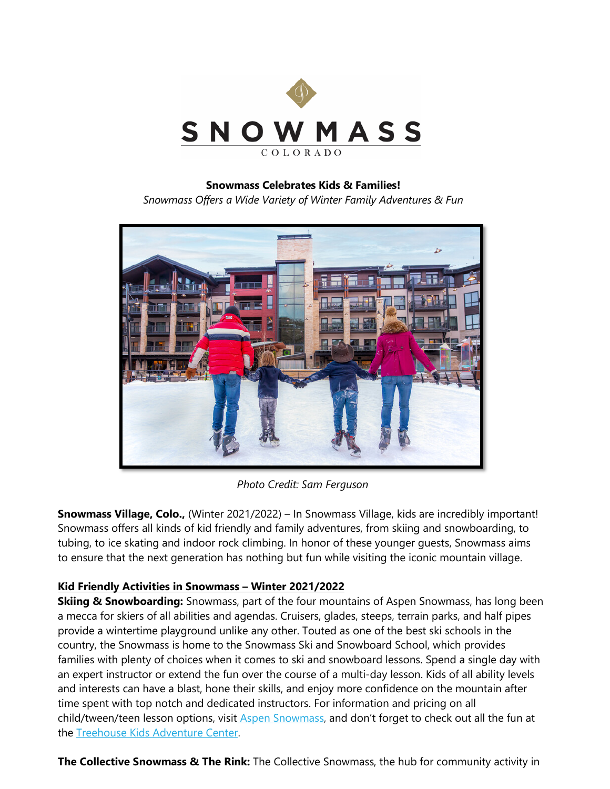

## **Snowmass Celebrates Kids & Families!**

*Snowmass Offers a Wide Variety of Winter Family Adventures & Fun*



*Photo Credit: Sam Ferguson*

**Snowmass Village, Colo.,** (Winter 2021/2022) – In Snowmass Village, kids are incredibly important! Snowmass offers all kinds of kid friendly and family adventures, from skiing and snowboarding, to tubing, to ice skating and indoor rock climbing. In honor of these younger guests, Snowmass aims to ensure that the next generation has nothing but fun while visiting the iconic mountain village.

## **Kid Friendly Activities in Snowmass – Winter 2021/2022**

**Skiing & Snowboarding:** Snowmass, part of the four mountains of Aspen Snowmass, has long been a mecca for skiers of all abilities and agendas. Cruisers, glades, steeps, terrain parks, and half pipes provide a wintertime playground unlike any other. Touted as one of the best ski schools in the country, the Snowmass is home to the Snowmass Ski and Snowboard School, which provides families with plenty of choices when it comes to ski and snowboard lessons. Spend a single day with an expert instructor or extend the fun over the course of a multi-day lesson. Kids of all ability levels and interests can have a blast, hone their skills, and enjoy more confidence on the mountain after time spent with top notch and dedicated instructors. For information and pricing on all child/tween/teen lesson options, visit [Aspen Snowmass,](http://www.aspensnowmass.com/ski-and-snowboard-schools) and don't forget to check out all the fun at the [Treehouse Kids Adventure Center.](https://www.gosnowmass.com/things-to-do/parent-info/the-treehouse/)

**The Collective Snowmass & The Rink:** The Collective Snowmass, the hub for community activity in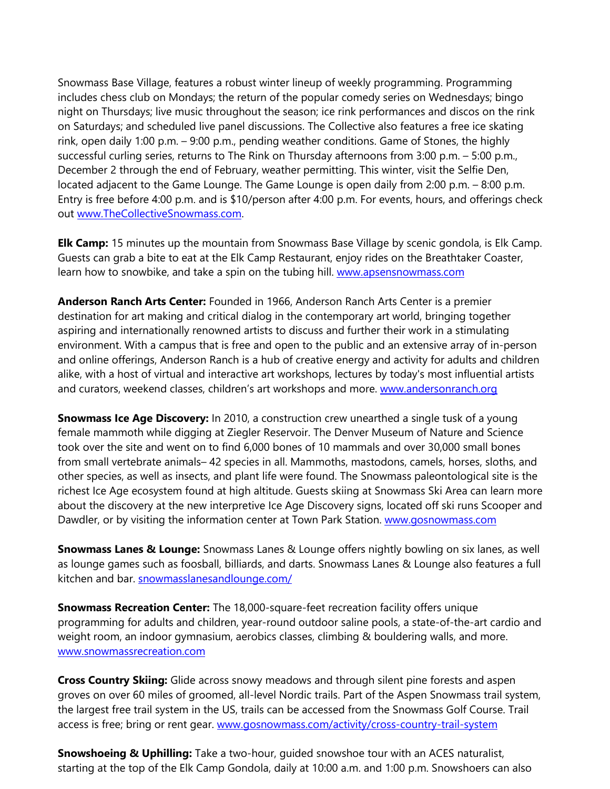Snowmass Base Village, features a robust winter lineup of weekly programming. Programming includes chess club on Mondays; the return of the popular comedy series on Wednesdays; bingo night on Thursdays; live music throughout the season; ice rink performances and discos on the rink on Saturdays; and scheduled live panel discussions. The Collective also features a free ice skating rink, open daily 1:00 p.m. – 9:00 p.m., pending weather conditions. Game of Stones, the highly successful curling series, returns to The Rink on Thursday afternoons from 3:00 p.m. – 5:00 p.m., December 2 through the end of February, weather permitting. This winter, visit the Selfie Den, located adjacent to the Game Lounge. The Game Lounge is open daily from 2:00 p.m. – 8:00 p.m. Entry is free before 4:00 p.m. and is \$10/person after 4:00 p.m. For events, hours, and offerings check out [www.TheCollectiveSnowmass.com.](http://www.thecollectivesnowmass.com/)

**Elk Camp:** 15 minutes up the mountain from Snowmass Base Village by scenic gondola, is Elk Camp. Guests can grab a bite to eat at the Elk Camp Restaurant, enjoy rides on the Breathtaker Coaster, learn how to snowbike, and take a spin on the tubing hill. [www.apsensnowmass.com](http://www.apsensnowmass.com/)

**Anderson Ranch Arts Center:** Founded in 1966, Anderson Ranch Arts Center is a premier destination for art making and critical dialog in the contemporary art world, bringing together aspiring and internationally renowned artists to discuss and further their work in a stimulating environment. With a campus that is free and open to the public and an extensive array of in-person and online offerings, Anderson Ranch is a hub of creative energy and activity for adults and children alike, with a host of virtual and interactive art workshops, lectures by today's most influential artists and curators, weekend classes, children's art workshops and more. [www.andersonranch.org](http://www.andersonranch.org/)

**Snowmass Ice Age Discovery:** In 2010, a construction crew unearthed a single tusk of a young female mammoth while digging at Ziegler Reservoir. The Denver Museum of Nature and Science took over the site and went on to find 6,000 bones of 10 mammals and over 30,000 small bones from small vertebrate animals– 42 species in all. Mammoths, mastodons, camels, horses, sloths, and other species, as well as insects, and plant life were found. The Snowmass paleontological site is the richest Ice Age ecosystem found at high altitude. Guests skiing at Snowmass Ski Area can learn more about the discovery at the new interpretive Ice Age Discovery signs, located off ski runs Scooper and Dawdler, or by visiting the information center at Town Park Station. [www.gosnowmass.com](http://www.gosnowmass.com/)

**Snowmass Lanes & Lounge:** Snowmass Lanes & Lounge offers nightly bowling on six lanes, as well as lounge games such as foosball, billiards, and darts. Snowmass Lanes & Lounge also features a full kitchen and bar. [snowmasslanesandlounge.com/](https://snowmasslanesandlounge.com/)

**Snowmass Recreation Center:** The 18,000-square-feet recreation facility offers unique programming for adults and children, year-round outdoor saline pools, a state-of-the-art cardio and weight room, an indoor gymnasium, aerobics classes, climbing & bouldering walls, and more. [www.snowmassrecreation.com](http://www.snowmassrecreation.com/)

**Cross Country Skiing:** Glide across snowy meadows and through silent pine forests and aspen groves on over 60 miles of groomed, all-level Nordic trails. Part of the Aspen Snowmass trail system, the largest free trail system in the US, trails can be accessed from the Snowmass Golf Course. Trail access is free; bring or rent gear. [www.gosnowmass.com/activity/cross-country-trail-system](https://www.gosnowmass.com/activity/cross-country-trail-system/)

**Snowshoeing & Uphilling:** Take a two-hour, guided snowshoe tour with an ACES naturalist, starting at the top of the Elk Camp Gondola, daily at 10:00 a.m. and 1:00 p.m. Snowshoers can also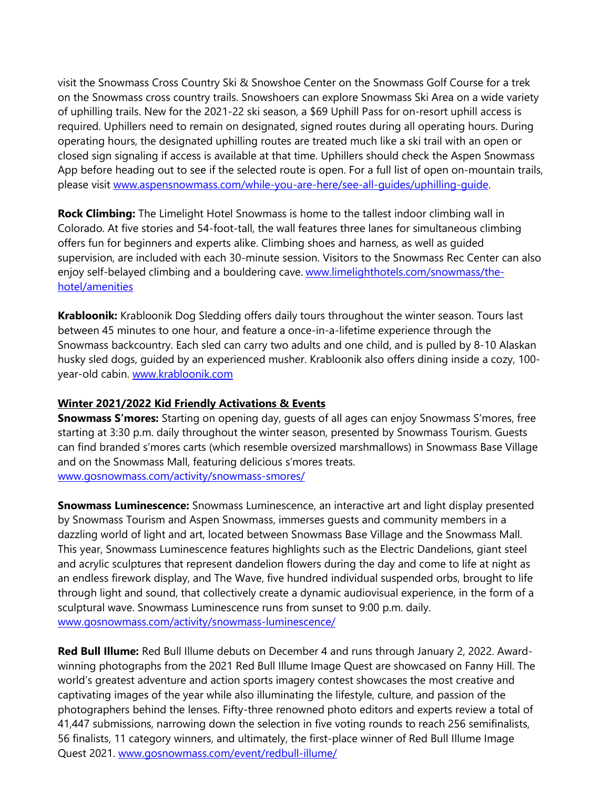visit the Snowmass Cross Country Ski & Snowshoe Center on the Snowmass Golf Course for a trek on the Snowmass cross country trails. Snowshoers can explore Snowmass Ski Area on a wide variety of uphilling trails. New for the 2021-22 ski season, a \$69 Uphill Pass for on-resort uphill access is required. Uphillers need to remain on designated, signed routes during all operating hours. During operating hours, the designated uphilling routes are treated much like a ski trail with an open or closed sign signaling if access is available at that time. Uphillers should check the Aspen Snowmass App before heading out to see if the selected route is open. For a full list of open on-mountain trails, please visit [www.aspensnowmass.com/while-you-are-here/see-all-guides/uphilling-guide.](http://www.aspensnowmass.com/while-you-are-here/see-all-guides/uphilling-guide)

**Rock Climbing:** The Limelight Hotel Snowmass is home to the tallest indoor climbing wall in Colorado. At five stories and 54-foot-tall, the wall features three lanes for simultaneous climbing offers fun for beginners and experts alike. Climbing shoes and harness, as well as guided supervision, are included with each 30-minute session. Visitors to the Snowmass Rec Center can also enjoy self-belayed climbing and a bouldering cave. [www.limelighthotels.com/snowmass/the](http://www.limelighthotels.com/snowmass/the-hotel/amenities)[hotel/amenities](http://www.limelighthotels.com/snowmass/the-hotel/amenities)

**Krabloonik:** Krabloonik Dog Sledding offers daily tours throughout the winter season. Tours last between 45 minutes to one hour, and feature a once-in-a-lifetime experience through the Snowmass backcountry. Each sled can carry two adults and one child, and is pulled by 8-10 Alaskan husky sled dogs, guided by an experienced musher. Krabloonik also offers dining inside a cozy, 100 year-old cabin. [www.krabloonik.com](http://www.krabloonik.com/) 

## **Winter 2021/2022 Kid Friendly Activations & Events**

**Snowmass S'mores:** Starting on opening day, guests of all ages can enjoy Snowmass S'mores, free starting at 3:30 p.m. daily throughout the winter season, presented by Snowmass Tourism. Guests can find branded s'mores carts (which resemble oversized marshmallows) in Snowmass Base Village and on the Snowmass Mall, featuring delicious s'mores treats. [www.gosnowmass.com/activity/snowmass-smores/](http://www.gosnowmass.com/activity/snowmass-smores/)

**Snowmass Luminescence:** Snowmass Luminescence, an interactive art and light display presented by Snowmass Tourism and Aspen Snowmass, immerses guests and community members in a dazzling world of light and art, located between Snowmass Base Village and the Snowmass Mall. This year, Snowmass Luminescence features highlights such as the Electric Dandelions, giant steel and acrylic sculptures that represent dandelion flowers during the day and come to life at night as an endless firework display, and The Wave, five hundred individual suspended orbs, brought to life through light and sound, that collectively create a dynamic audiovisual experience, in the form of a sculptural wave. Snowmass Luminescence runs from sunset to 9:00 p.m. daily. [www.gosnowmass.com/activity/snowmass-luminescence/](http://www.gosnowmass.com/activity/snowmass-luminescence/) 

**Red Bull Illume:** Red Bull Illume debuts on December 4 and runs through January 2, 2022. Awardwinning photographs from the 2021 Red Bull Illume Image Quest are showcased on Fanny Hill. The world's greatest adventure and action sports imagery contest showcases the most creative and captivating images of the year while also illuminating the lifestyle, culture, and passion of the photographers behind the lenses. Fifty-three renowned photo editors and experts review a total of 41,447 submissions, narrowing down the selection in five voting rounds to reach 256 semifinalists, 56 finalists, 11 category winners, and ultimately, the first-place winner of Red Bull Illume Image Quest 2021. [www.gosnowmass.com/event/redbull-illume/](https://www.gosnowmass.com/event/redbull-illume/)